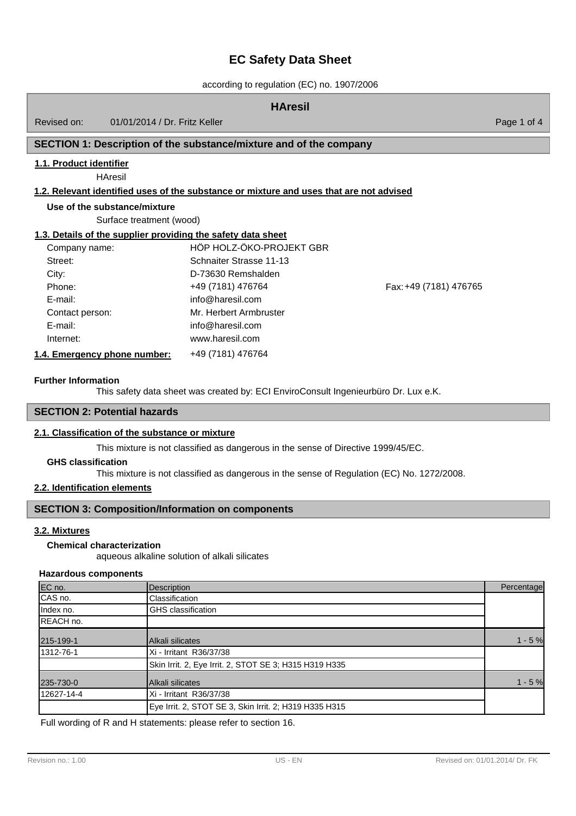according to regulation (EC) no. 1907/2006

| <b>HAresil</b>                                               |                                                                                         |                        |             |
|--------------------------------------------------------------|-----------------------------------------------------------------------------------------|------------------------|-------------|
| 01/01/2014 / Dr. Fritz Keller<br>Revised on:                 |                                                                                         |                        | Page 1 of 4 |
|                                                              | SECTION 1: Description of the substance/mixture and of the company                      |                        |             |
| 1.1. Product identifier<br><b>HAresil</b>                    | 1.2. Relevant identified uses of the substance or mixture and uses that are not advised |                        |             |
| Use of the substance/mixture<br>Surface treatment (wood)     |                                                                                         |                        |             |
| 1.3. Details of the supplier providing the safety data sheet |                                                                                         |                        |             |
| Company name:                                                | HÖP HOLZ-ÖKO-PROJEKT GBR                                                                |                        |             |
| Street:                                                      | Schnaiter Strasse 11-13                                                                 |                        |             |
| City:                                                        | D-73630 Remshalden                                                                      |                        |             |
| Phone:                                                       | +49 (7181) 476764                                                                       | Fax: +49 (7181) 476765 |             |
| E-mail:                                                      | info@haresil.com                                                                        |                        |             |
| Contact person:                                              | Mr. Herbert Armbruster                                                                  |                        |             |
| E-mail:                                                      | info@haresil.com                                                                        |                        |             |
| Internet:                                                    | www.haresil.com                                                                         |                        |             |
| 1.4. Emergency phone number:                                 | +49 (7181) 476764                                                                       |                        |             |

#### **Further Information**

This safety data sheet was created by: ECI EnviroConsult Ingenieurbüro Dr. Lux e.K.

# **SECTION 2: Potential hazards**

## **2.1. Classification of the substance or mixture**

This mixture is not classified as dangerous in the sense of Directive 1999/45/EC.

## **GHS classification**

This mixture is not classified as dangerous in the sense of Regulation (EC) No. 1272/2008.

# **2.2. Identification elements**

# **SECTION 3: Composition/Information on components**

# **3.2. Mixtures**

### aqueous alkaline solution of alkali silicates **Chemical characterization**

## **Hazardous components**

| EC no.     | <b>Description</b>                                     | Percentage |
|------------|--------------------------------------------------------|------------|
| CAS no.    | Classification                                         |            |
| Index no.  | GHS classification                                     |            |
| REACH no.  |                                                        |            |
| 215-199-1  | <b>Alkali silicates</b>                                | $1 - 5%$   |
| 1312-76-1  | Xi - Irritant R36/37/38                                |            |
|            | Skin Irrit. 2, Eye Irrit. 2, STOT SE 3; H315 H319 H335 |            |
| 235-730-0  | Alkali silicates                                       | $1 - 5%$   |
| 12627-14-4 | Xi - Irritant R36/37/38                                |            |
|            | Eye Irrit. 2, STOT SE 3, Skin Irrit. 2; H319 H335 H315 |            |

Full wording of R and H statements: please refer to section 16.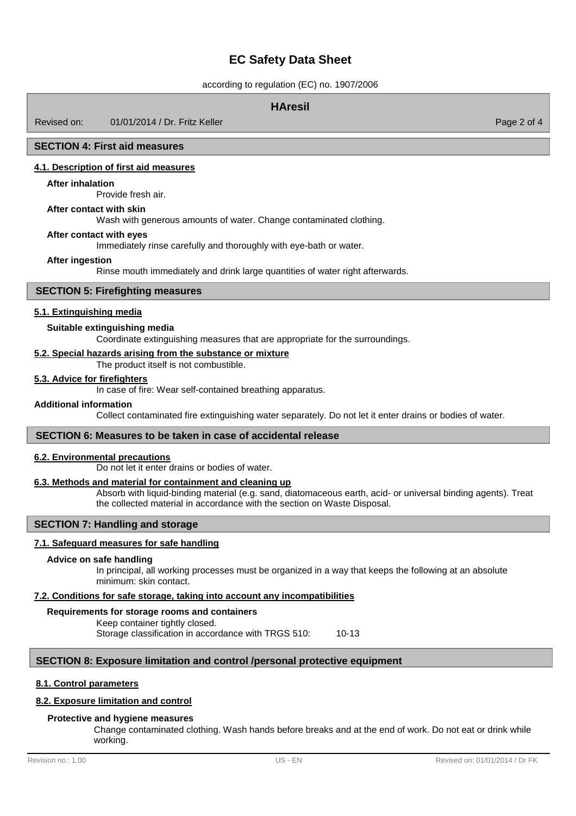according to regulation (EC) no. 1907/2006

## **HAresil**

Revised on: 01/01/2014 / Dr. Fritz Keller

#### **SECTION 4: First aid measures**

#### **4.1. Description of first aid measures**

#### **After inhalation**

Provide fresh air.

### **After contact with skin**

Wash with generous amounts of water. Change contaminated clothing.

## **After contact with eyes**

Immediately rinse carefully and thoroughly with eye-bath or water.

#### **After ingestion**

Rinse mouth immediately and drink large quantities of water right afterwards.

## **SECTION 5: Firefighting measures**

## **5.1. Extinguishing media**

### **Suitable extinguishing media**

Coordinate extinguishing measures that are appropriate for the surroundings.

#### **5.2. Special hazards arising from the substance or mixture**

The product itself is not combustible.

# **5.3. Advice for firefighters**

In case of fire: Wear self-contained breathing apparatus.

#### **Additional information**

Collect contaminated fire extinguishing water separately. Do not let it enter drains or bodies of water.

#### **SECTION 6: Measures to be taken in case of accidental release**

#### **6.2. Environmental precautions**

Do not let it enter drains or bodies of water.

## **6.3. Methods and material for containment and cleaning up**

Absorb with liquid-binding material (e.g. sand, diatomaceous earth, acid- or universal binding agents). Treat the collected material in accordance with the section on Waste Disposal.

## **SECTION 7: Handling and storage**

#### **7.1. Safeguard measures for safe handling**

#### **Advice on safe handling**

In principal, all working processes must be organized in a way that keeps the following at an absolute minimum: skin contact.

#### **7.2. Conditions for safe storage, taking into account any incompatibilities**

#### **Requirements for storage rooms and containers**

Keep container tightly closed. Storage classification in accordance with TRGS 510: 10-13

## **SECTION 8: Exposure limitation and control /personal protective equipment**

## **8.1. Control parameters**

## **8.2. Exposure limitation and control**

#### **Protective and hygiene measures**

Change contaminated clothing. Wash hands before breaks and at the end of work. Do not eat or drink while working.

Page 2 of 4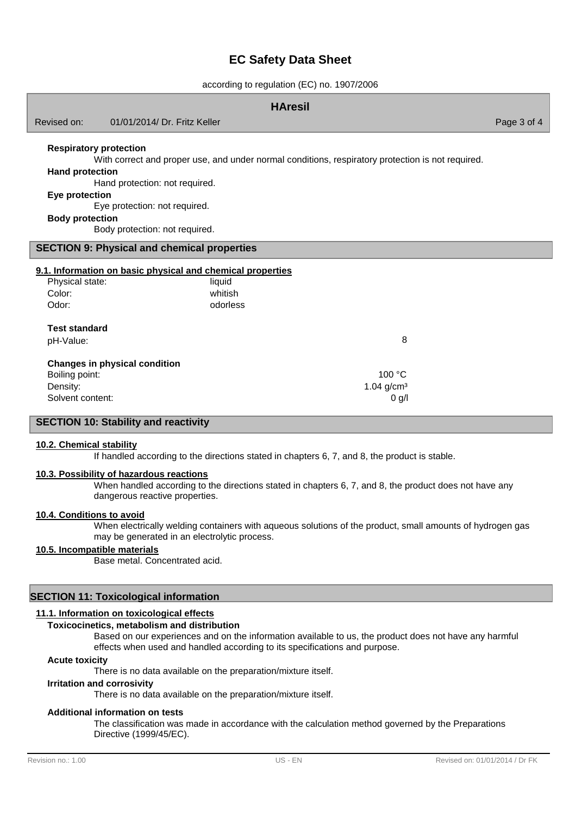according to regulation (EC) no. 1907/2006

| <b>HAresil</b>                                           |                                                                                                   |             |
|----------------------------------------------------------|---------------------------------------------------------------------------------------------------|-------------|
| Revised on:                                              | 01/01/2014/ Dr. Fritz Keller                                                                      | Page 3 of 4 |
| <b>Respiratory protection</b>                            |                                                                                                   |             |
|                                                          | With correct and proper use, and under normal conditions, respiratory protection is not required. |             |
| <b>Hand protection</b><br>Hand protection: not required. |                                                                                                   |             |
| Eye protection                                           |                                                                                                   |             |
|                                                          | Eye protection: not required.                                                                     |             |
| <b>Body protection</b>                                   |                                                                                                   |             |
|                                                          | Body protection: not required.                                                                    |             |
| <b>SECTION 9: Physical and chemical properties</b>       |                                                                                                   |             |
|                                                          | 9.1. Information on basic physical and chemical properties                                        |             |
| Physical state:                                          | liquid                                                                                            |             |
| Color:                                                   | whitish                                                                                           |             |
| Odor:                                                    | odorless                                                                                          |             |
| <b>Test standard</b>                                     |                                                                                                   |             |
| pH-Value:                                                | 8                                                                                                 |             |
|                                                          | <b>Changes in physical condition</b>                                                              |             |
| Boiling point:                                           | 100 °C                                                                                            |             |
| Density:                                                 | $1.04$ g/cm <sup>3</sup>                                                                          |             |
| Solvent content:                                         | 0 g/l                                                                                             |             |
|                                                          | <b>SECTION 10: Stability and reactivity</b>                                                       |             |

#### **10.2. Chemical stability**

If handled according to the directions stated in chapters 6, 7, and 8, the product is stable.

## **10.3. Possibility of hazardous reactions**

When handled according to the directions stated in chapters 6, 7, and 8, the product does not have any dangerous reactive properties.

# **10.4. Conditions to avoid**

When electrically welding containers with aqueous solutions of the product, small amounts of hydrogen gas may be generated in an electrolytic process.

# **10.5. Incompatible materials**

Base metal. Concentrated acid.

## **SECTION 11: Toxicological information**

## **11.1. Information on toxicological effects**

# **Toxicocinetics, metabolism and distribution**

Based on our experiences and on the information available to us, the product does not have any harmful effects when used and handled according to its specifications and purpose.

#### **Acute toxicity**

There is no data available on the preparation/mixture itself.

## **Irritation and corrosivity**

There is no data available on the preparation/mixture itself.

# **Additional information on tests**

The classification was made in accordance with the calculation method governed by the Preparations Directive (1999/45/EC).